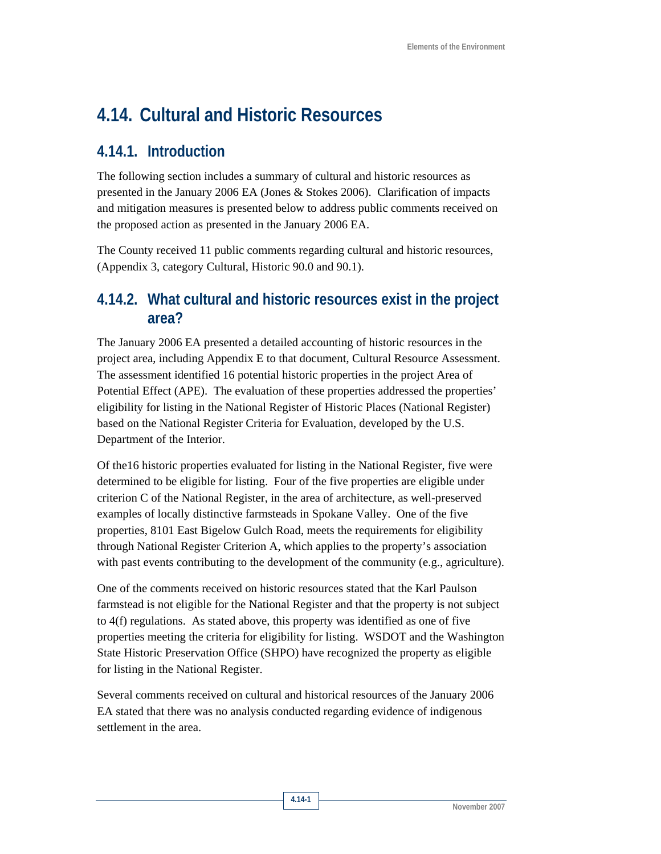# **4.14. Cultural and Historic Resources**

### **4.14.1. Introduction**

The following section includes a summary of cultural and historic resources as presented in the January 2006 EA (Jones & Stokes 2006). Clarification of impacts and mitigation measures is presented below to address public comments received on the proposed action as presented in the January 2006 EA.

The County received 11 public comments regarding cultural and historic resources, (Appendix 3, category Cultural, Historic 90.0 and 90.1).

### **4.14.2. What cultural and historic resources exist in the project area?**

The January 2006 EA presented a detailed accounting of historic resources in the project area, including Appendix E to that document, Cultural Resource Assessment. The assessment identified 16 potential historic properties in the project Area of Potential Effect (APE). The evaluation of these properties addressed the properties' eligibility for listing in the National Register of Historic Places (National Register) based on the National Register Criteria for Evaluation, developed by the U.S. Department of the Interior.

Of the16 historic properties evaluated for listing in the National Register, five were determined to be eligible for listing. Four of the five properties are eligible under criterion C of the National Register, in the area of architecture, as well-preserved examples of locally distinctive farmsteads in Spokane Valley. One of the five properties, 8101 East Bigelow Gulch Road, meets the requirements for eligibility through National Register Criterion A, which applies to the property's association with past events contributing to the development of the community (e.g., agriculture).

One of the comments received on historic resources stated that the Karl Paulson farmstead is not eligible for the National Register and that the property is not subject to 4(f) regulations. As stated above, this property was identified as one of five properties meeting the criteria for eligibility for listing. WSDOT and the Washington State Historic Preservation Office (SHPO) have recognized the property as eligible for listing in the National Register.

Several comments received on cultural and historical resources of the January 2006 EA stated that there was no analysis conducted regarding evidence of indigenous settlement in the area.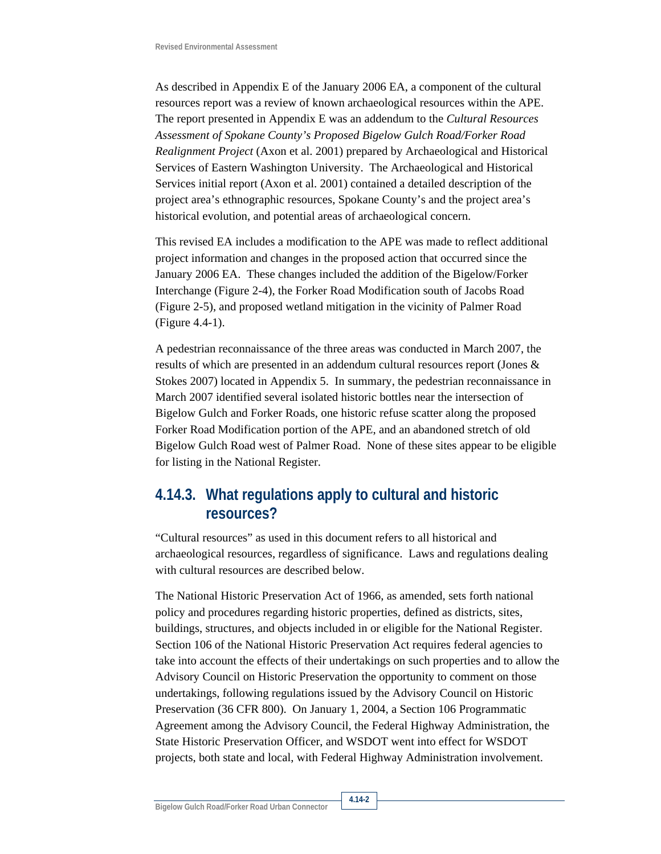As described in Appendix E of the January 2006 EA, a component of the cultural resources report was a review of known archaeological resources within the APE. The report presented in Appendix E was an addendum to the *Cultural Resources Assessment of Spokane County's Proposed Bigelow Gulch Road/Forker Road Realignment Project* (Axon et al. 2001) prepared by Archaeological and Historical Services of Eastern Washington University. The Archaeological and Historical Services initial report (Axon et al. 2001) contained a detailed description of the project area's ethnographic resources, Spokane County's and the project area's historical evolution, and potential areas of archaeological concern.

This revised EA includes a modification to the APE was made to reflect additional project information and changes in the proposed action that occurred since the January 2006 EA. These changes included the addition of the Bigelow/Forker Interchange (Figure 2-4), the Forker Road Modification south of Jacobs Road (Figure 2-5), and proposed wetland mitigation in the vicinity of Palmer Road (Figure 4.4-1).

A pedestrian reconnaissance of the three areas was conducted in March 2007, the results of which are presented in an addendum cultural resources report (Jones & Stokes 2007) located in Appendix 5. In summary, the pedestrian reconnaissance in March 2007 identified several isolated historic bottles near the intersection of Bigelow Gulch and Forker Roads, one historic refuse scatter along the proposed Forker Road Modification portion of the APE, and an abandoned stretch of old Bigelow Gulch Road west of Palmer Road. None of these sites appear to be eligible for listing in the National Register.

## **4.14.3. What regulations apply to cultural and historic resources?**

"Cultural resources" as used in this document refers to all historical and archaeological resources, regardless of significance. Laws and regulations dealing with cultural resources are described below.

The National Historic Preservation Act of 1966, as amended, sets forth national policy and procedures regarding historic properties, defined as districts, sites, buildings, structures, and objects included in or eligible for the National Register. Section 106 of the National Historic Preservation Act requires federal agencies to take into account the effects of their undertakings on such properties and to allow the Advisory Council on Historic Preservation the opportunity to comment on those undertakings, following regulations issued by the Advisory Council on Historic Preservation (36 CFR 800). On January 1, 2004, a Section 106 Programmatic Agreement among the Advisory Council, the Federal Highway Administration, the State Historic Preservation Officer, and WSDOT went into effect for WSDOT projects, both state and local, with Federal Highway Administration involvement.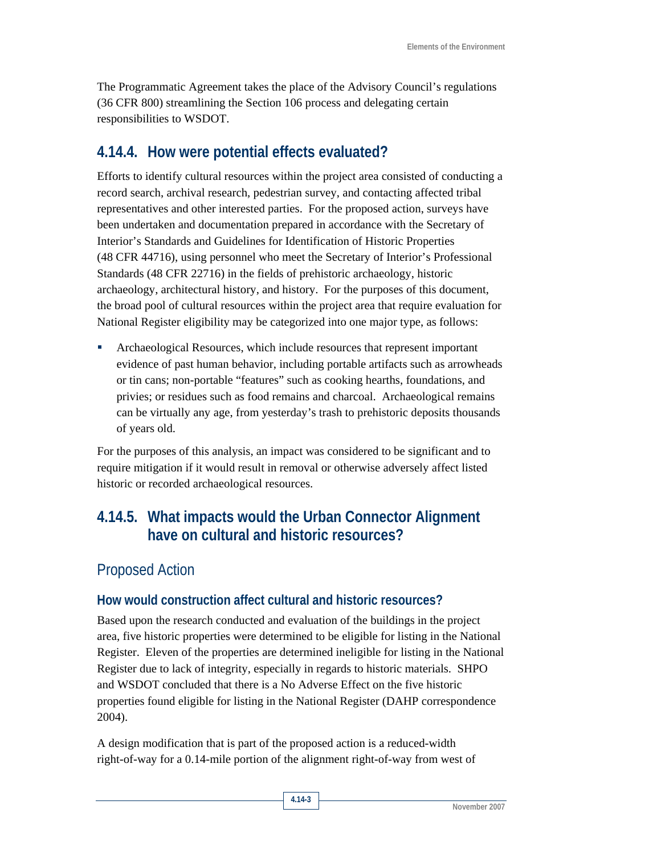The Programmatic Agreement takes the place of the Advisory Council's regulations (36 CFR 800) streamlining the Section 106 process and delegating certain responsibilities to WSDOT.

### **4.14.4. How were potential effects evaluated?**

Efforts to identify cultural resources within the project area consisted of conducting a record search, archival research, pedestrian survey, and contacting affected tribal representatives and other interested parties. For the proposed action, surveys have been undertaken and documentation prepared in accordance with the Secretary of Interior's Standards and Guidelines for Identification of Historic Properties (48 CFR 44716), using personnel who meet the Secretary of Interior's Professional Standards (48 CFR 22716) in the fields of prehistoric archaeology, historic archaeology, architectural history, and history. For the purposes of this document, the broad pool of cultural resources within the project area that require evaluation for National Register eligibility may be categorized into one major type, as follows:

 Archaeological Resources, which include resources that represent important evidence of past human behavior, including portable artifacts such as arrowheads or tin cans; non-portable "features" such as cooking hearths, foundations, and privies; or residues such as food remains and charcoal. Archaeological remains can be virtually any age, from yesterday's trash to prehistoric deposits thousands of years old.

For the purposes of this analysis, an impact was considered to be significant and to require mitigation if it would result in removal or otherwise adversely affect listed historic or recorded archaeological resources.

# **4.14.5. What impacts would the Urban Connector Alignment have on cultural and historic resources?**

### Proposed Action

### **How would construction affect cultural and historic resources?**

Based upon the research conducted and evaluation of the buildings in the project area, five historic properties were determined to be eligible for listing in the National Register. Eleven of the properties are determined ineligible for listing in the National Register due to lack of integrity, especially in regards to historic materials. SHPO and WSDOT concluded that there is a No Adverse Effect on the five historic properties found eligible for listing in the National Register (DAHP correspondence 2004).

A design modification that is part of the proposed action is a reduced-width right-of-way for a 0.14-mile portion of the alignment right-of-way from west of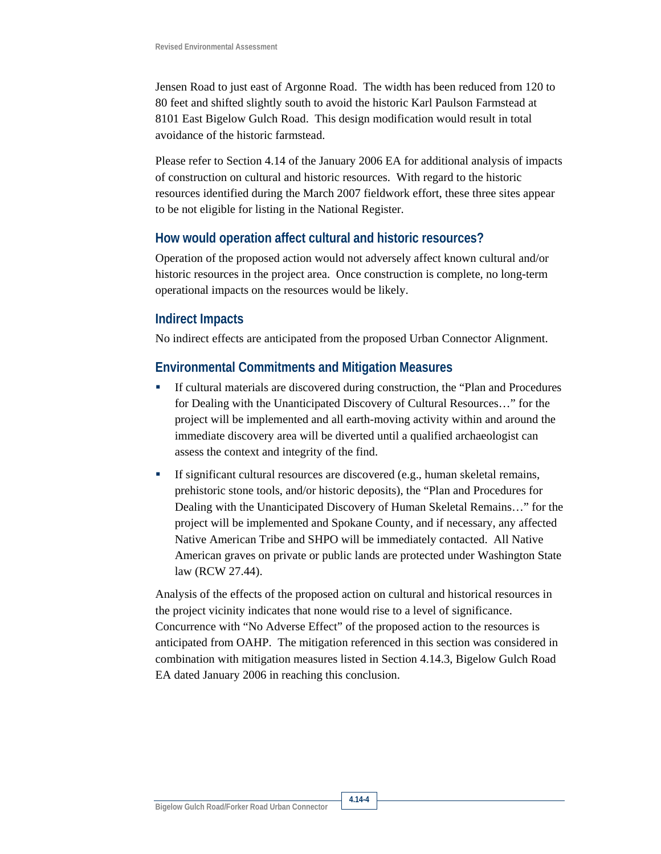Jensen Road to just east of Argonne Road. The width has been reduced from 120 to 80 feet and shifted slightly south to avoid the historic Karl Paulson Farmstead at 8101 East Bigelow Gulch Road. This design modification would result in total avoidance of the historic farmstead.

Please refer to Section 4.14 of the January 2006 EA for additional analysis of impacts of construction on cultural and historic resources. With regard to the historic resources identified during the March 2007 fieldwork effort, these three sites appear to be not eligible for listing in the National Register.

#### **How would operation affect cultural and historic resources?**

Operation of the proposed action would not adversely affect known cultural and/or historic resources in the project area. Once construction is complete, no long-term operational impacts on the resources would be likely.

#### **Indirect Impacts**

No indirect effects are anticipated from the proposed Urban Connector Alignment.

#### **Environmental Commitments and Mitigation Measures**

- If cultural materials are discovered during construction, the "Plan and Procedures for Dealing with the Unanticipated Discovery of Cultural Resources…" for the project will be implemented and all earth-moving activity within and around the immediate discovery area will be diverted until a qualified archaeologist can assess the context and integrity of the find.
- If significant cultural resources are discovered (e.g., human skeletal remains, prehistoric stone tools, and/or historic deposits), the "Plan and Procedures for Dealing with the Unanticipated Discovery of Human Skeletal Remains…" for the project will be implemented and Spokane County, and if necessary, any affected Native American Tribe and SHPO will be immediately contacted. All Native American graves on private or public lands are protected under Washington State law (RCW 27.44).

Analysis of the effects of the proposed action on cultural and historical resources in the project vicinity indicates that none would rise to a level of significance. Concurrence with "No Adverse Effect" of the proposed action to the resources is anticipated from OAHP. The mitigation referenced in this section was considered in combination with mitigation measures listed in Section 4.14.3, Bigelow Gulch Road EA dated January 2006 in reaching this conclusion.